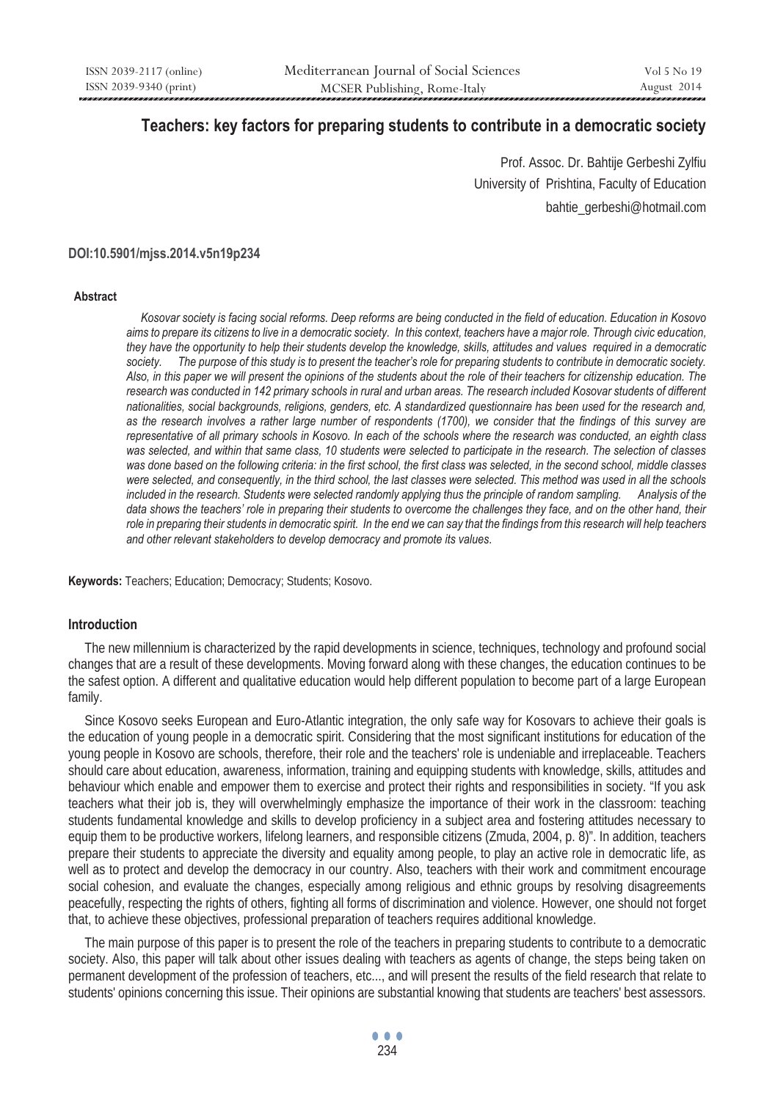# **Teachers: key factors for preparing students to contribute in a democratic society**

Prof. Assoc. Dr. Bahtije Gerbeshi Zylfiu University of Prishtina, Faculty of Education bahtie\_gerbeshi@hotmail.com

#### **DOI:10.5901/mjss.2014.v5n19p234**

#### **Abstract**

 *Kosovar society is facing social reforms. Deep reforms are being conducted in the field of education. Education in Kosovo aims to prepare its citizens to live in a democratic society. In this context, teachers have a major role. Through civic education, they have the opportunity to help their students develop the knowledge, skills, attitudes and values required in a democratic society. The purpose of this study is to present the teacher's role for preparing students to contribute in democratic society. Also, in this paper we will present the opinions of the students about the role of their teachers for citizenship education. The research was conducted in 142 primary schools in rural and urban areas. The research included Kosovar students of different nationalities, social backgrounds, religions, genders, etc. A standardized questionnaire has been used for the research and, as the research involves a rather large number of respondents (1700), we consider that the findings of this survey are representative of all primary schools in Kosovo. In each of the schools where the research was conducted, an eighth class was selected, and within that same class, 10 students were selected to participate in the research. The selection of classes was done based on the following criteria: in the first school, the first class was selected, in the second school, middle classes were selected, and consequently, in the third school, the last classes were selected. This method was used in all the schools included in the research. Students were selected randomly applying thus the principle of random sampling. Analysis of the*  data shows the teachers' role in preparing their students to overcome the challenges they face, and on the other hand, their *role in preparing their students in democratic spirit. In the end we can say that the findings from this research will help teachers and other relevant stakeholders to develop democracy and promote its values.* 

**Keywords:** Teachers; Education; Democracy; Students; Kosovo.

### **Introduction**

 The new millennium is characterized by the rapid developments in science, techniques, technology and profound social changes that are a result of these developments. Moving forward along with these changes, the education continues to be the safest option. A different and qualitative education would help different population to become part of a large European family.

 Since Kosovo seeks European and Euro-Atlantic integration, the only safe way for Kosovars to achieve their goals is the education of young people in a democratic spirit. Considering that the most significant institutions for education of the young people in Kosovo are schools, therefore, their role and the teachers' role is undeniable and irreplaceable. Teachers should care about education, awareness, information, training and equipping students with knowledge, skills, attitudes and behaviour which enable and empower them to exercise and protect their rights and responsibilities in society. "If you ask teachers what their job is, they will overwhelmingly emphasize the importance of their work in the classroom: teaching students fundamental knowledge and skills to develop proficiency in a subject area and fostering attitudes necessary to equip them to be productive workers, lifelong learners, and responsible citizens (Zmuda, 2004, p. 8)". In addition, teachers prepare their students to appreciate the diversity and equality among people, to play an active role in democratic life, as well as to protect and develop the democracy in our country. Also, teachers with their work and commitment encourage social cohesion, and evaluate the changes, especially among religious and ethnic groups by resolving disagreements peacefully, respecting the rights of others, fighting all forms of discrimination and violence. However, one should not forget that, to achieve these objectives, professional preparation of teachers requires additional knowledge.

 The main purpose of this paper is to present the role of the teachers in preparing students to contribute to a democratic society. Also, this paper will talk about other issues dealing with teachers as agents of change, the steps being taken on permanent development of the profession of teachers, etc..., and will present the results of the field research that relate to students' opinions concerning this issue. Their opinions are substantial knowing that students are teachers' best assessors.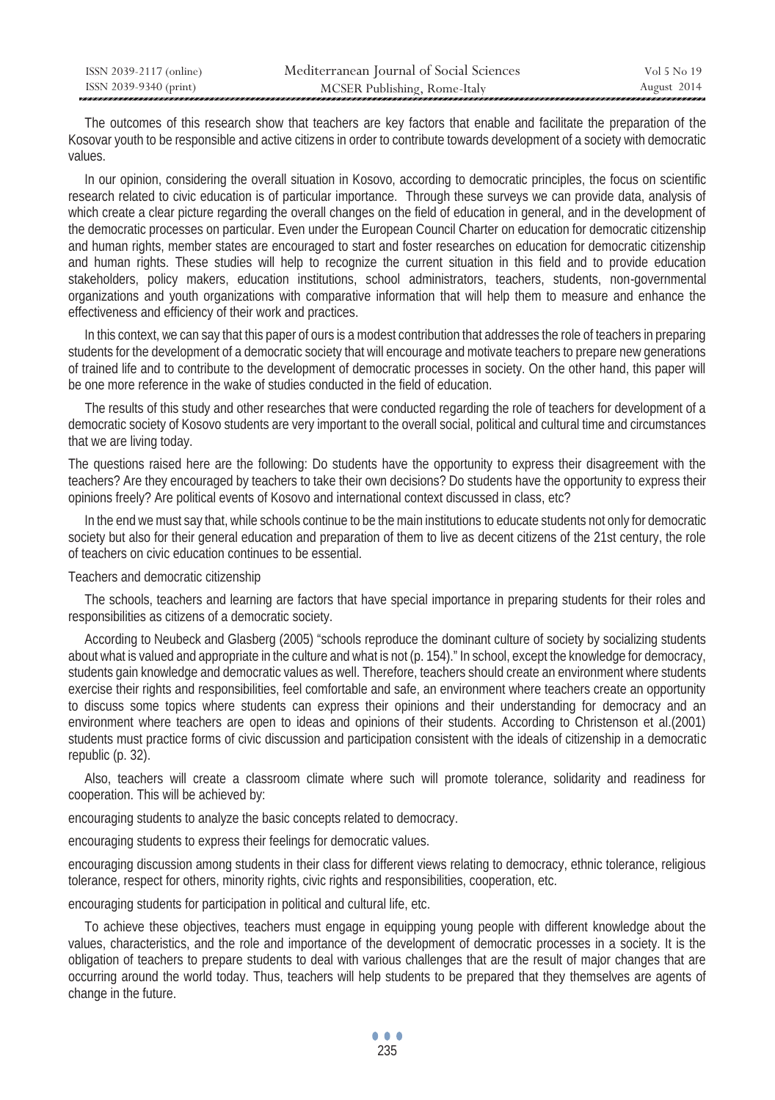| ISSN 2039-2117 (online) | Mediterranean Journal of Social Sciences | Vol 5 No 19 |
|-------------------------|------------------------------------------|-------------|
| ISSN 2039-9340 (print)  | MCSER Publishing, Rome-Italy             | August 2014 |

 The outcomes of this research show that teachers are key factors that enable and facilitate the preparation of the Kosovar youth to be responsible and active citizens in order to contribute towards development of a society with democratic values.

 In our opinion, considering the overall situation in Kosovo, according to democratic principles, the focus on scientific research related to civic education is of particular importance. Through these surveys we can provide data, analysis of which create a clear picture regarding the overall changes on the field of education in general, and in the development of the democratic processes on particular. Even under the European Council Charter on education for democratic citizenship and human rights, member states are encouraged to start and foster researches on education for democratic citizenship and human rights. These studies will help to recognize the current situation in this field and to provide education stakeholders, policy makers, education institutions, school administrators, teachers, students, non-governmental organizations and youth organizations with comparative information that will help them to measure and enhance the effectiveness and efficiency of their work and practices.

 In this context, we can say that this paper of ours is a modest contribution that addresses the role of teachers in preparing students for the development of a democratic society that will encourage and motivate teachers to prepare new generations of trained life and to contribute to the development of democratic processes in society. On the other hand, this paper will be one more reference in the wake of studies conducted in the field of education.

 The results of this study and other researches that were conducted regarding the role of teachers for development of a democratic society of Kosovo students are very important to the overall social, political and cultural time and circumstances that we are living today.

The questions raised here are the following: Do students have the opportunity to express their disagreement with the teachers? Are they encouraged by teachers to take their own decisions? Do students have the opportunity to express their opinions freely? Are political events of Kosovo and international context discussed in class, etc?

 In the end we must say that, while schools continue to be the main institutions to educate students not only for democratic society but also for their general education and preparation of them to live as decent citizens of the 21st century, the role of teachers on civic education continues to be essential.

Teachers and democratic citizenship

 The schools, teachers and learning are factors that have special importance in preparing students for their roles and responsibilities as citizens of a democratic society.

 According to Neubeck and Glasberg (2005) "schools reproduce the dominant culture of society by socializing students about what is valued and appropriate in the culture and what is not (p. 154)." In school, except the knowledge for democracy, students gain knowledge and democratic values as well. Therefore, teachers should create an environment where students exercise their rights and responsibilities, feel comfortable and safe, an environment where teachers create an opportunity to discuss some topics where students can express their opinions and their understanding for democracy and an environment where teachers are open to ideas and opinions of their students. According to Christenson et al.(2001) students must practice forms of civic discussion and participation consistent with the ideals of citizenship in a democratic republic (p. 32).

 Also, teachers will create a classroom climate where such will promote tolerance, solidarity and readiness for cooperation. This will be achieved by:

encouraging students to analyze the basic concepts related to democracy.

encouraging students to express their feelings for democratic values.

encouraging discussion among students in their class for different views relating to democracy, ethnic tolerance, religious tolerance, respect for others, minority rights, civic rights and responsibilities, cooperation, etc.

encouraging students for participation in political and cultural life, etc.

 To achieve these objectives, teachers must engage in equipping young people with different knowledge about the values, characteristics, and the role and importance of the development of democratic processes in a society. It is the obligation of teachers to prepare students to deal with various challenges that are the result of major changes that are occurring around the world today. Thus, teachers will help students to be prepared that they themselves are agents of change in the future.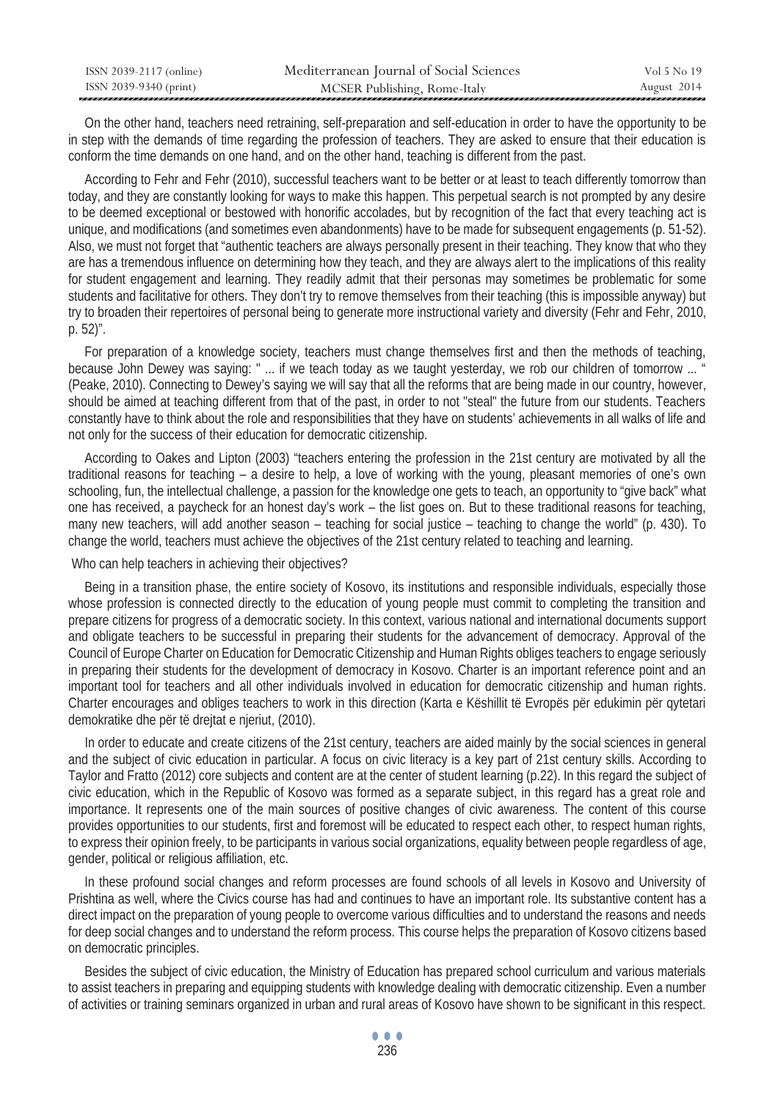| ISSN 2039-2117 (online) | Mediterranean Journal of Social Sciences | Vol 5 No 19 |
|-------------------------|------------------------------------------|-------------|
| ISSN 2039-9340 (print)  | MCSER Publishing, Rome-Italy             | August 2014 |

 On the other hand, teachers need retraining, self-preparation and self-education in order to have the opportunity to be in step with the demands of time regarding the profession of teachers. They are asked to ensure that their education is conform the time demands on one hand, and on the other hand, teaching is different from the past.

 According to Fehr and Fehr (2010), successful teachers want to be better or at least to teach differently tomorrow than today, and they are constantly looking for ways to make this happen. This perpetual search is not prompted by any desire to be deemed exceptional or bestowed with honorific accolades, but by recognition of the fact that every teaching act is unique, and modifications (and sometimes even abandonments) have to be made for subsequent engagements (p. 51-52). Also, we must not forget that "authentic teachers are always personally present in their teaching. They know that who they are has a tremendous influence on determining how they teach, and they are always alert to the implications of this reality for student engagement and learning. They readily admit that their personas may sometimes be problematic for some students and facilitative for others. They don't try to remove themselves from their teaching (this is impossible anyway) but try to broaden their repertoires of personal being to generate more instructional variety and diversity (Fehr and Fehr, 2010, p. 52)".

 For preparation of a knowledge society, teachers must change themselves first and then the methods of teaching, because John Dewey was saying: " ... if we teach today as we taught yesterday, we rob our children of tomorrow ... (Peake, 2010). Connecting to Dewey's saying we will say that all the reforms that are being made in our country, however, should be aimed at teaching different from that of the past, in order to not "steal" the future from our students. Teachers constantly have to think about the role and responsibilities that they have on students' achievements in all walks of life and not only for the success of their education for democratic citizenship.

 According to Oakes and Lipton (2003) "teachers entering the profession in the 21st century are motivated by all the traditional reasons for teaching – a desire to help, a love of working with the young, pleasant memories of one's own schooling, fun, the intellectual challenge, a passion for the knowledge one gets to teach, an opportunity to "give back" what one has received, a paycheck for an honest day's work – the list goes on. But to these traditional reasons for teaching, many new teachers, will add another season – teaching for social justice – teaching to change the world" (p. 430). To change the world, teachers must achieve the objectives of the 21st century related to teaching and learning.

#### Who can help teachers in achieving their objectives?

 Being in a transition phase, the entire society of Kosovo, its institutions and responsible individuals, especially those whose profession is connected directly to the education of young people must commit to completing the transition and prepare citizens for progress of a democratic society. In this context, various national and international documents support and obligate teachers to be successful in preparing their students for the advancement of democracy. Approval of the Council of Europe Charter on Education for Democratic Citizenship and Human Rights obliges teachers to engage seriously in preparing their students for the development of democracy in Kosovo. Charter is an important reference point and an important tool for teachers and all other individuals involved in education for democratic citizenship and human rights. Charter encourages and obliges teachers to work in this direction (Karta e Këshillit të Evropës për edukimin për qytetari demokratike dhe për të drejtat e njeriut, (2010).

 In order to educate and create citizens of the 21st century, teachers are aided mainly by the social sciences in general and the subject of civic education in particular. A focus on civic literacy is a key part of 21st century skills. According to Taylor and Fratto (2012) core subjects and content are at the center of student learning (p.22). In this regard the subject of civic education, which in the Republic of Kosovo was formed as a separate subject, in this regard has a great role and importance. It represents one of the main sources of positive changes of civic awareness. The content of this course provides opportunities to our students, first and foremost will be educated to respect each other, to respect human rights, to express their opinion freely, to be participants in various social organizations, equality between people regardless of age, gender, political or religious affiliation, etc.

 In these profound social changes and reform processes are found schools of all levels in Kosovo and University of Prishtina as well, where the Civics course has had and continues to have an important role. Its substantive content has a direct impact on the preparation of young people to overcome various difficulties and to understand the reasons and needs for deep social changes and to understand the reform process. This course helps the preparation of Kosovo citizens based on democratic principles.

 Besides the subject of civic education, the Ministry of Education has prepared school curriculum and various materials to assist teachers in preparing and equipping students with knowledge dealing with democratic citizenship. Even a number of activities or training seminars organized in urban and rural areas of Kosovo have shown to be significant in this respect.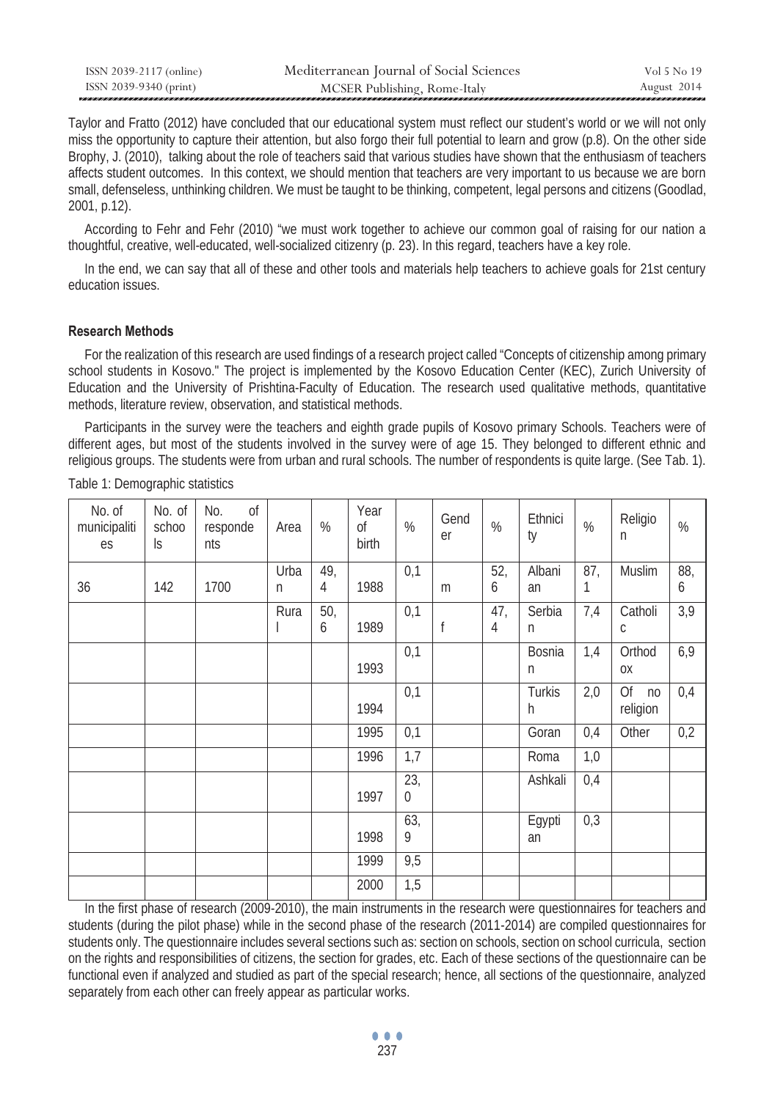| ISSN 2039-2117 (online) | Mediterranean Journal of Social Sciences | Vol 5 No 19 |
|-------------------------|------------------------------------------|-------------|
| ISSN 2039-9340 (print)  | MCSER Publishing, Rome-Italy             | August 2014 |

Taylor and Fratto (2012) have concluded that our educational system must reflect our student's world or we will not only miss the opportunity to capture their attention, but also forgo their full potential to learn and grow (p.8). On the other side Brophy, J. (2010), talking about the role of teachers said that various studies have shown that the enthusiasm of teachers affects student outcomes. In this context, we should mention that teachers are very important to us because we are born small, defenseless, unthinking children. We must be taught to be thinking, competent, legal persons and citizens (Goodlad, 2001, p.12).

 According to Fehr and Fehr (2010) "we must work together to achieve our common goal of raising for our nation a thoughtful, creative, well-educated, well-socialized citizenry (p. 23). In this regard, teachers have a key role.

 In the end, we can say that all of these and other tools and materials help teachers to achieve goals for 21st century education issues.

## **Research Methods**

 For the realization of this research are used findings of a research project called "Concepts of citizenship among primary school students in Kosovo." The project is implemented by the Kosovo Education Center (KEC), Zurich University of Education and the University of Prishtina-Faculty of Education. The research used qualitative methods, quantitative methods, literature review, observation, and statistical methods.

 Participants in the survey were the teachers and eighth grade pupils of Kosovo primary Schools. Teachers were of different ages, but most of the students involved in the survey were of age 15. They belonged to different ethnic and religious groups. The students were from urban and rural schools. The number of respondents is quite large. (See Tab. 1).

| No. of<br>municipaliti<br>es | No. of<br>schoo<br>$\mathsf{S}$ | 0f<br>No.<br>responde<br>nts | Area      | %        | Year<br><sub>of</sub><br>birth | %                     | Gend<br>er | %        | Ethnici<br>ty | $\%$     | Religio<br>n                     | %        |
|------------------------------|---------------------------------|------------------------------|-----------|----------|--------------------------------|-----------------------|------------|----------|---------------|----------|----------------------------------|----------|
| 36                           | 142                             | 1700                         | Urba<br>n | 49,<br>4 | 1988                           | 0,1                   | m          | 52,<br>6 | Albani<br>an  | 87,<br>1 | Muslim                           | 88,<br>6 |
|                              |                                 |                              | Rura      | 50,<br>6 | 1989                           | 0,1                   | f          | 47,<br>4 | Serbia<br>n   | 7,4      | Catholi<br>C                     | 3,9      |
|                              |                                 |                              |           |          | 1993                           | 0,1                   |            |          | Bosnia<br>n   | 1,4      | Orthod<br>0X                     | 6,9      |
|                              |                                 |                              |           |          | 1994                           | 0,1                   |            |          | Turkis<br>h   | 2,0      | Of<br>n <sub>0</sub><br>religion | 0,4      |
|                              |                                 |                              |           |          | 1995                           | 0,1                   |            |          | Goran         | 0,4      | Other                            | 0,2      |
|                              |                                 |                              |           |          | 1996                           | 1,7                   |            |          | Roma          | 1,0      |                                  |          |
|                              |                                 |                              |           |          | 1997                           | 23,<br>$\overline{0}$ |            |          | Ashkali       | 0,4      |                                  |          |
|                              |                                 |                              |           |          | 1998                           | 63,<br>9              |            |          | Egypti<br>an  | 0,3      |                                  |          |
|                              |                                 |                              |           |          | 1999                           | 9,5                   |            |          |               |          |                                  |          |
|                              |                                 |                              |           |          | 2000                           | 1,5                   |            |          |               |          |                                  |          |

Table 1: Demographic statistics

 In the first phase of research (2009-2010), the main instruments in the research were questionnaires for teachers and students (during the pilot phase) while in the second phase of the research (2011-2014) are compiled questionnaires for students only. The questionnaire includes several sections such as: section on schools, section on school curricula, section on the rights and responsibilities of citizens, the section for grades, etc. Each of these sections of the questionnaire can be functional even if analyzed and studied as part of the special research; hence, all sections of the questionnaire, analyzed separately from each other can freely appear as particular works.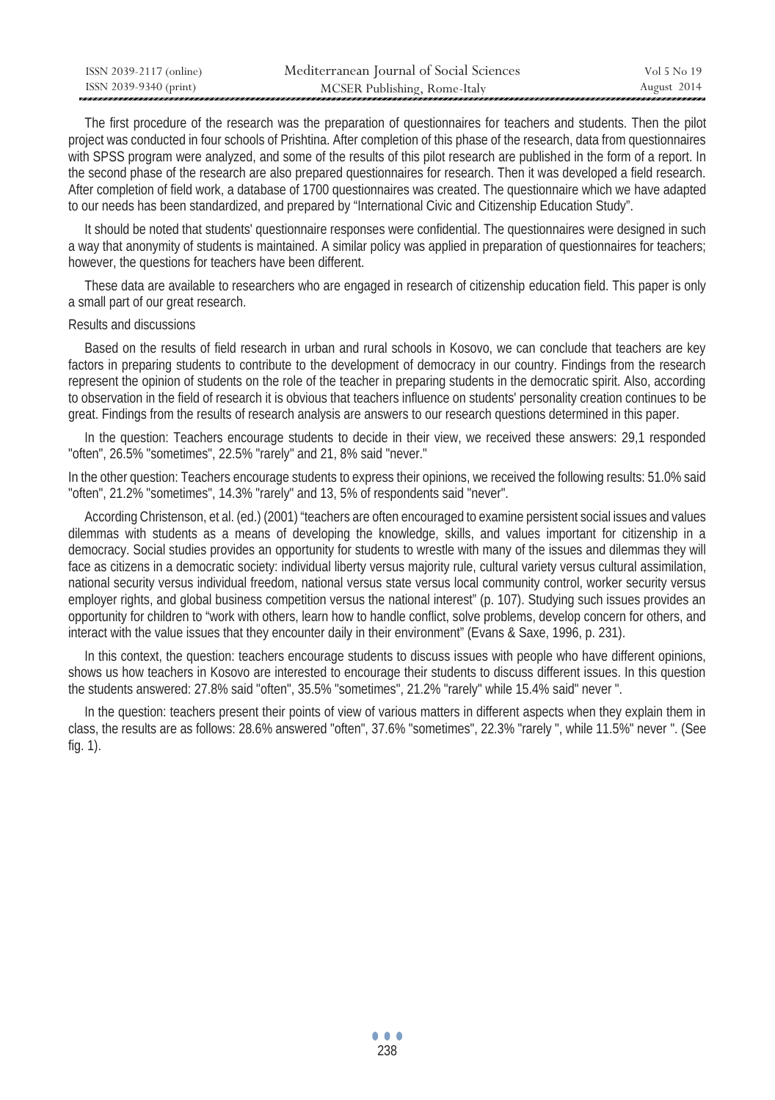| ISSN 2039-2117 (online) | Mediterranean Journal of Social Sciences | Vol 5 No 19 |
|-------------------------|------------------------------------------|-------------|
| ISSN 2039-9340 (print)  | MCSER Publishing, Rome-Italy             | August 2014 |

 The first procedure of the research was the preparation of questionnaires for teachers and students. Then the pilot project was conducted in four schools of Prishtina. After completion of this phase of the research, data from questionnaires with SPSS program were analyzed, and some of the results of this pilot research are published in the form of a report. In the second phase of the research are also prepared questionnaires for research. Then it was developed a field research. After completion of field work, a database of 1700 questionnaires was created. The questionnaire which we have adapted to our needs has been standardized, and prepared by "International Civic and Citizenship Education Study".

 It should be noted that students' questionnaire responses were confidential. The questionnaires were designed in such a way that anonymity of students is maintained. A similar policy was applied in preparation of questionnaires for teachers; however, the questions for teachers have been different.

 These data are available to researchers who are engaged in research of citizenship education field. This paper is only a small part of our great research.

#### Results and discussions

 Based on the results of field research in urban and rural schools in Kosovo, we can conclude that teachers are key factors in preparing students to contribute to the development of democracy in our country. Findings from the research represent the opinion of students on the role of the teacher in preparing students in the democratic spirit. Also, according to observation in the field of research it is obvious that teachers influence on students' personality creation continues to be great. Findings from the results of research analysis are answers to our research questions determined in this paper.

 In the question: Teachers encourage students to decide in their view, we received these answers: 29,1 responded "often", 26.5% "sometimes", 22.5% "rarely" and 21, 8% said "never."

In the other question: Teachers encourage students to express their opinions, we received the following results: 51.0% said "often", 21.2% "sometimes", 14.3% "rarely" and 13, 5% of respondents said "never".

 According Christenson, et al. (ed.) (2001) "teachers are often encouraged to examine persistent social issues and values dilemmas with students as a means of developing the knowledge, skills, and values important for citizenship in a democracy. Social studies provides an opportunity for students to wrestle with many of the issues and dilemmas they will face as citizens in a democratic society: individual liberty versus majority rule, cultural variety versus cultural assimilation, national security versus individual freedom, national versus state versus local community control, worker security versus employer rights, and global business competition versus the national interest" (p. 107). Studying such issues provides an opportunity for children to "work with others, learn how to handle conflict, solve problems, develop concern for others, and interact with the value issues that they encounter daily in their environment" (Evans & Saxe, 1996, p. 231).

 In this context, the question: teachers encourage students to discuss issues with people who have different opinions, shows us how teachers in Kosovo are interested to encourage their students to discuss different issues. In this question the students answered: 27.8% said "often", 35.5% "sometimes", 21.2% "rarely" while 15.4% said" never ".

 In the question: teachers present their points of view of various matters in different aspects when they explain them in class, the results are as follows: 28.6% answered "often", 37.6% "sometimes", 22.3% "rarely ", while 11.5%" never ". (See fig. 1).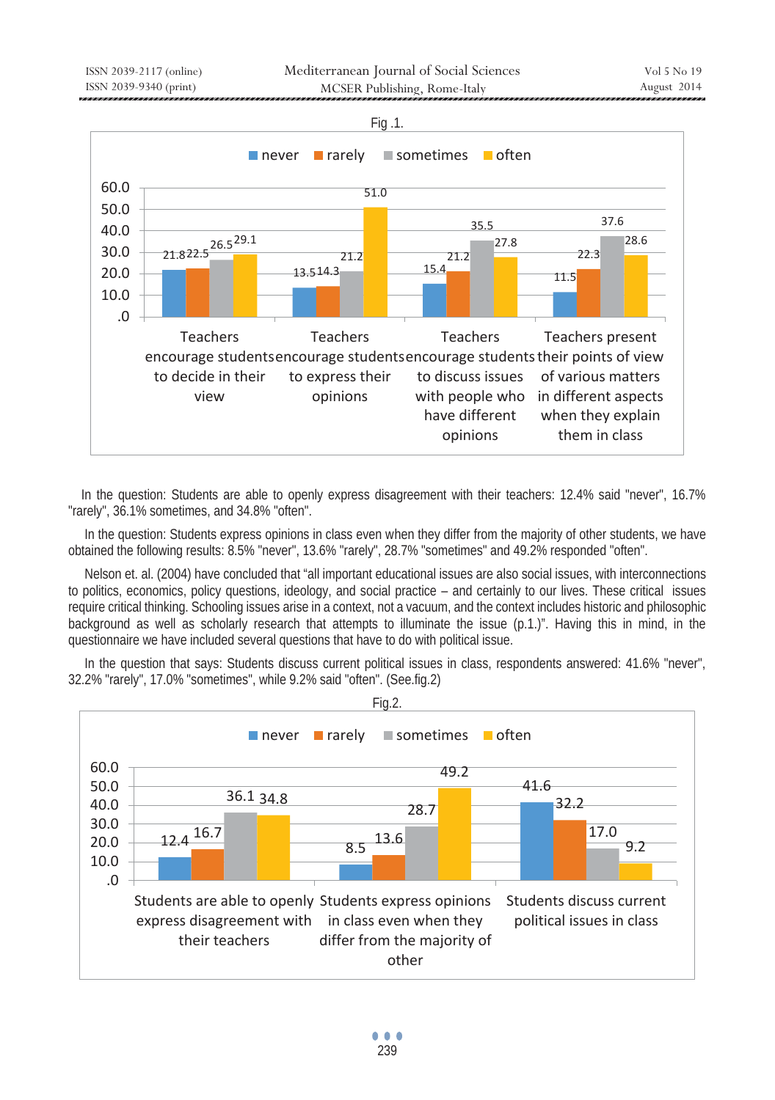

 In the question: Students are able to openly express disagreement with their teachers: 12.4% said "never", 16.7% "rarely", 36.1% sometimes, and 34.8% "often".

In the question: Students express opinions in class even when they differ from the majority of other students, we have obtained the following results: 8.5% "never", 13.6% "rarely", 28.7% "sometimes" and 49.2% responded "often".

 Nelson et. al. (2004) have concluded that "all important educational issues are also social issues, with interconnections to politics, economics, policy questions, ideology, and social practice – and certainly to our lives. These critical issues require critical thinking. Schooling issues arise in a context, not a vacuum, and the context includes historic and philosophic background as well as scholarly research that attempts to illuminate the issue (p.1.)". Having this in mind, in the questionnaire we have included several questions that have to do with political issue.

 In the question that says: Students discuss current political issues in class, respondents answered: 41.6% "never", 32.2% "rarely", 17.0% "sometimes", while 9.2% said "often". (See.fig.2)

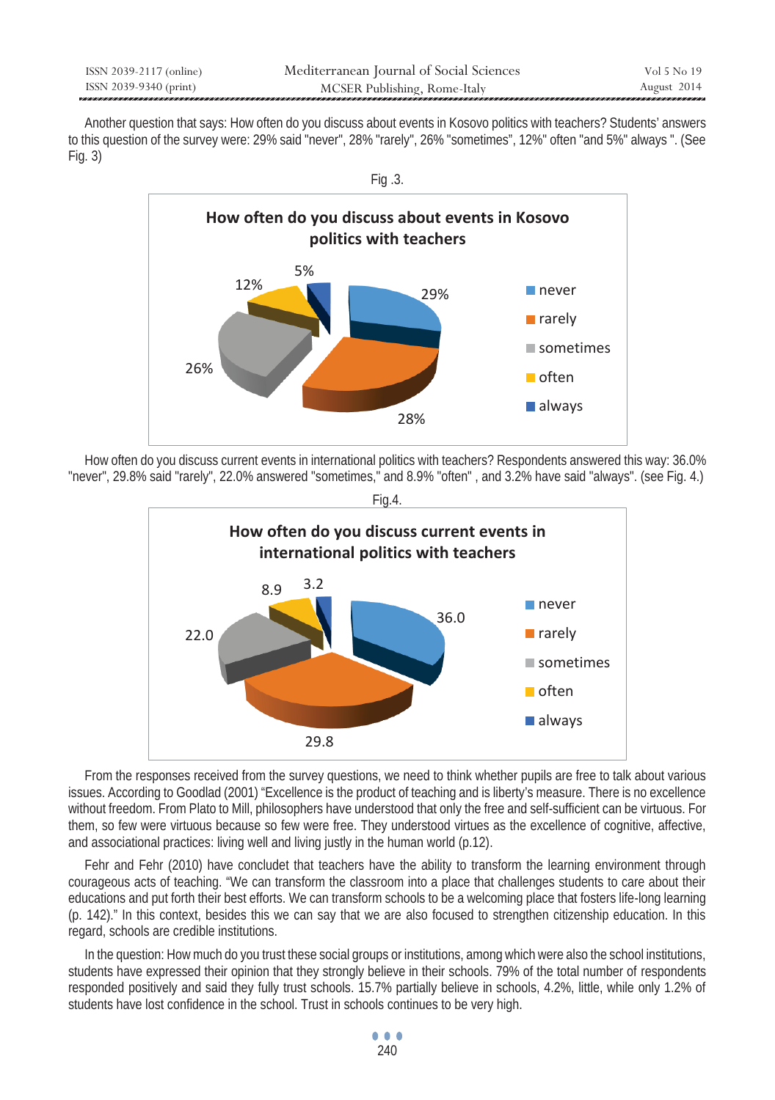| ISSN 2039-2117 (online) | Mediterranean Journal of Social Sciences | Vol 5 No 19 |
|-------------------------|------------------------------------------|-------------|
| ISSN 2039-9340 (print)  | MCSER Publishing, Rome-Italy             | August 2014 |

 Another question that says: How often do you discuss about events in Kosovo politics with teachers? Students' answers to this question of the survey were: 29% said "never", 28% "rarely", 26% "sometimes", 12%" often "and 5%" always ". (See Fig. 3)



 How often do you discuss current events in international politics with teachers? Respondents answered this way: 36.0% "never", 29.8% said "rarely", 22.0% answered "sometimes," and 8.9% "often" , and 3.2% have said "always". (see Fig. 4.)





 From the responses received from the survey questions, we need to think whether pupils are free to talk about various issues. According to Goodlad (2001) "Excellence is the product of teaching and is liberty's measure. There is no excellence without freedom. From Plato to Mill, philosophers have understood that only the free and self-sufficient can be virtuous. For them, so few were virtuous because so few were free. They understood virtues as the excellence of cognitive, affective, and associational practices: living well and living justly in the human world (p.12).

 Fehr and Fehr (2010) have concludet that teachers have the ability to transform the learning environment through courageous acts of teaching. "We can transform the classroom into a place that challenges students to care about their educations and put forth their best efforts. We can transform schools to be a welcoming place that fosters life-long learning (p. 142)." In this context, besides this we can say that we are also focused to strengthen citizenship education. In this regard, schools are credible institutions.

 In the question: How much do you trust these social groups or institutions, among which were also the school institutions, students have expressed their opinion that they strongly believe in their schools. 79% of the total number of respondents responded positively and said they fully trust schools. 15.7% partially believe in schools, 4.2%, little, while only 1.2% of students have lost confidence in the school. Trust in schools continues to be very high.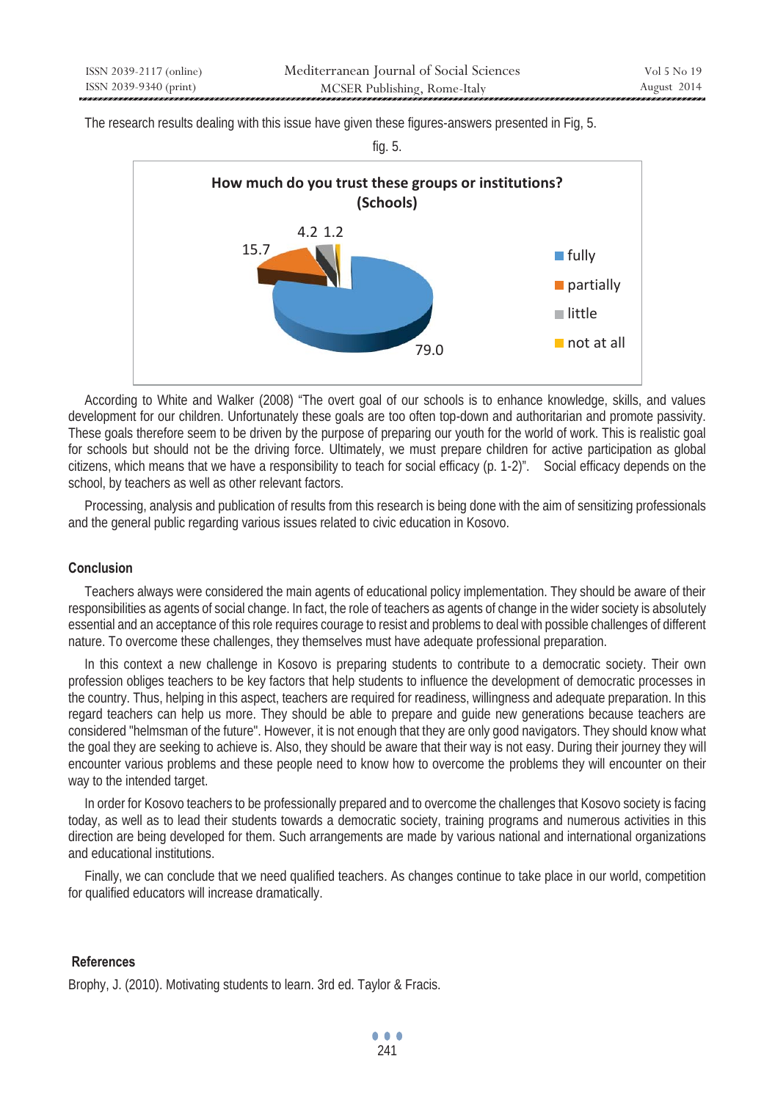The research results dealing with this issue have given these figures-answers presented in Fig, 5.

fig. 5.



 According to White and Walker (2008) "The overt goal of our schools is to enhance knowledge, skills, and values development for our children. Unfortunately these goals are too often top-down and authoritarian and promote passivity. These goals therefore seem to be driven by the purpose of preparing our youth for the world of work. This is realistic goal for schools but should not be the driving force. Ultimately, we must prepare children for active participation as global citizens, which means that we have a responsibility to teach for social efficacy (p. 1-2)". Social efficacy depends on the school, by teachers as well as other relevant factors.

 Processing, analysis and publication of results from this research is being done with the aim of sensitizing professionals and the general public regarding various issues related to civic education in Kosovo.

# **Conclusion**

 Teachers always were considered the main agents of educational policy implementation. They should be aware of their responsibilities as agents of social change. In fact, the role of teachers as agents of change in the wider society is absolutely essential and an acceptance of this role requires courage to resist and problems to deal with possible challenges of different nature. To overcome these challenges, they themselves must have adequate professional preparation.

 In this context a new challenge in Kosovo is preparing students to contribute to a democratic society. Their own profession obliges teachers to be key factors that help students to influence the development of democratic processes in the country. Thus, helping in this aspect, teachers are required for readiness, willingness and adequate preparation. In this regard teachers can help us more. They should be able to prepare and guide new generations because teachers are considered "helmsman of the future". However, it is not enough that they are only good navigators. They should know what the goal they are seeking to achieve is. Also, they should be aware that their way is not easy. During their journey they will encounter various problems and these people need to know how to overcome the problems they will encounter on their way to the intended target.

 In order for Kosovo teachers to be professionally prepared and to overcome the challenges that Kosovo society is facing today, as well as to lead their students towards a democratic society, training programs and numerous activities in this direction are being developed for them. Such arrangements are made by various national and international organizations and educational institutions.

 Finally, we can conclude that we need qualified teachers. As changes continue to take place in our world, competition for qualified educators will increase dramatically.

# **References**

Brophy, J. (2010). Motivating students to learn. 3rd ed. Taylor & Fracis.

 $\bullet$   $\bullet$   $\bullet$ 241